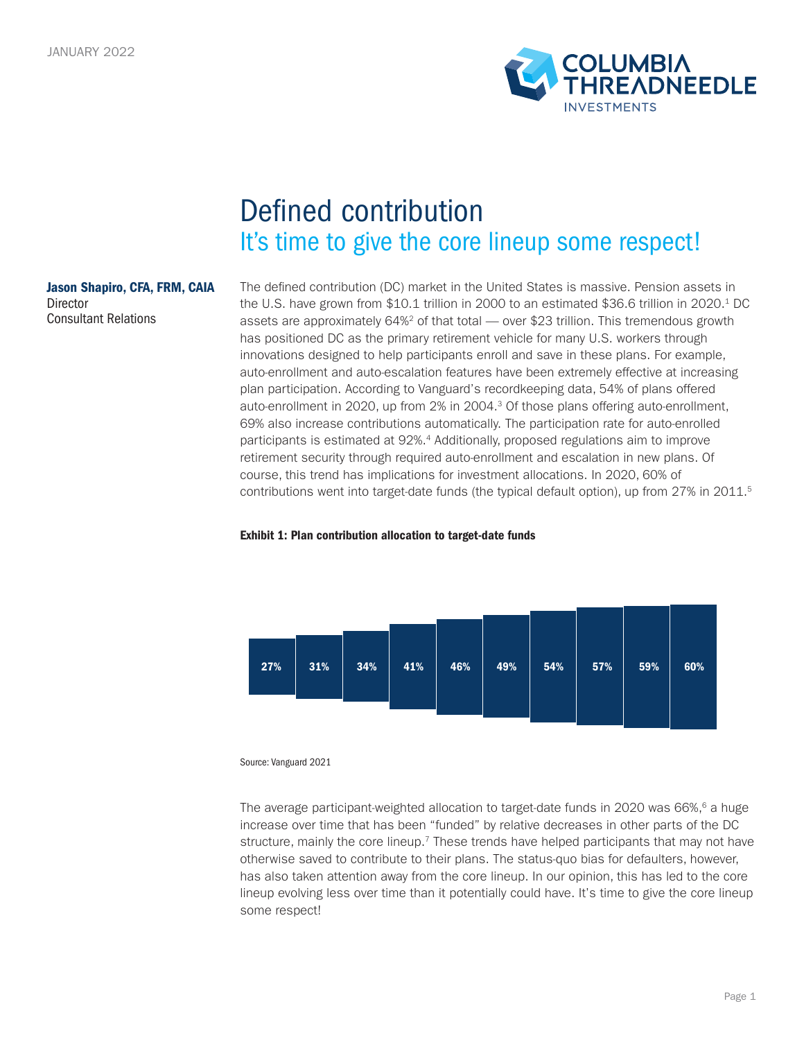

# Defined contribution It's time to give the core lineup some respect!

### Jason Shapiro, CFA, FRM, CAIA Director Consultant Relations

The defined contribution (DC) market in the United States is massive. Pension assets in the U.S. have grown from \$10.1 trillion in 2000 to an estimated \$36.6 trillion in 2020.<sup>1</sup> DC assets are approximately  $64\%^2$  of that total — over \$23 trillion. This tremendous growth has positioned DC as the primary retirement vehicle for many U.S. workers through innovations designed to help participants enroll and save in these plans. For example, auto-enrollment and auto-escalation features have been extremely effective at increasing plan participation. According to Vanguard's recordkeeping data, 54% of plans offered auto-enrollment in 2020, up from 2% in 2004.3 Of those plans offering auto-enrollment, 69% also increase contributions automatically. The participation rate for auto-enrolled participants is estimated at 92%.4 Additionally, proposed regulations aim to improve retirement security through required auto-enrollment and escalation in new plans. Of course, this trend has implications for investment allocations. In 2020, 60% of contributions went into target-date funds (the typical default option), up from 27% in 2011.<sup>5</sup>

## Exhibit 1: Plan contribution allocation to target-date funds



Source: Vanguard 2021

The average participant-weighted allocation to target-date funds in 2020 was  $66\%,^6$  a huge increase over time that has been "funded" by relative decreases in other parts of the DC structure, mainly the core lineup.<sup>7</sup> These trends have helped participants that may not have otherwise saved to contribute to their plans. The status-quo bias for defaulters, however, has also taken attention away from the core lineup. In our opinion, this has led to the core lineup evolving less over time than it potentially could have. It's time to give the core lineup some respect!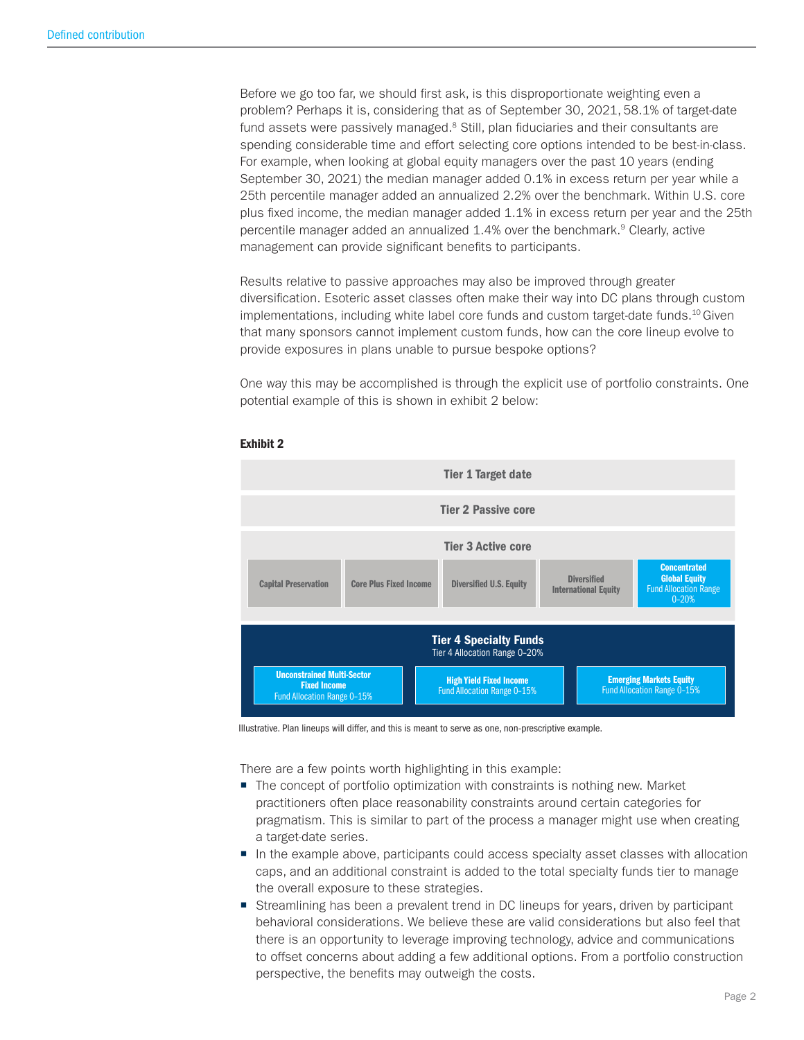Before we go too far, we should first ask, is this disproportionate weighting even a problem? Perhaps it is, considering that as of September 30, 2021, 58.1% of target-date fund assets were passively managed. $8$  Still, plan fiduciaries and their consultants are spending considerable time and effort selecting core options intended to be best-in-class. For example, when looking at global equity managers over the past 10 years (ending September 30, 2021) the median manager added 0.1% in excess return per year while a 25th percentile manager added an annualized 2.2% over the benchmark. Within U.S. core plus fixed income, the median manager added 1.1% in excess return per year and the 25th percentile manager added an annualized 1.4% over the benchmark.9 Clearly, active management can provide significant benefits to participants.

Results relative to passive approaches may also be improved through greater diversification. Esoteric asset classes often make their way into DC plans through custom implementations, including white label core funds and custom target-date funds.<sup>10</sup> Given that many sponsors cannot implement custom funds, how can the core lineup evolve to provide exposures in plans unable to pursue bespoke options?

One way this may be accomplished is through the explicit use of portfolio constraints. One potential example of this is shown in exhibit 2 below:



#### Exhibit 2

Illustrative. Plan lineups will differ, and this is meant to serve as one, non-prescriptive example.

There are a few points worth highlighting in this example:

- The concept of portfolio optimization with constraints is nothing new. Market practitioners often place reasonability constraints around certain categories for pragmatism. This is similar to part of the process a manager might use when creating a target-date series.
- In the example above, participants could access specialty asset classes with allocation caps, and an additional constraint is added to the total specialty funds tier to manage the overall exposure to these strategies.
- **Streamlining has been a prevalent trend in DC lineups for years, driven by participant** behavioral considerations. We believe these are valid considerations but also feel that there is an opportunity to leverage improving technology, advice and communications to offset concerns about adding a few additional options. From a portfolio construction perspective, the benefits may outweigh the costs.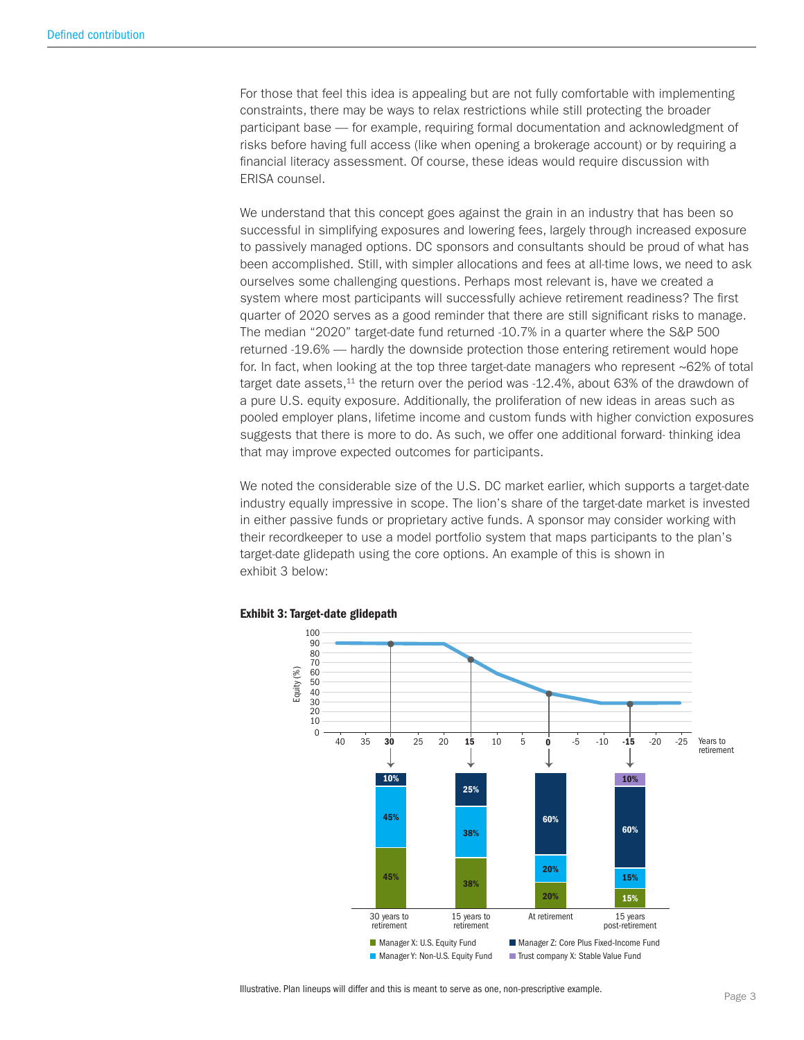For those that feel this idea is appealing but are not fully comfortable with implementing constraints, there may be ways to relax restrictions while still protecting the broader participant base — for example, requiring formal documentation and acknowledgment of risks before having full access (like when opening a brokerage account) or by requiring a financial literacy assessment. Of course, these ideas would require discussion with ERISA counsel.

We understand that this concept goes against the grain in an industry that has been so successful in simplifying exposures and lowering fees, largely through increased exposure to passively managed options. DC sponsors and consultants should be proud of what has been accomplished. Still, with simpler allocations and fees at all-time lows, we need to ask ourselves some challenging questions. Perhaps most relevant is, have we created a system where most participants will successfully achieve retirement readiness? The first quarter of 2020 serves as a good reminder that there are still significant risks to manage. The median "2020" target-date fund returned -10.7% in a quarter where the S&P 500 returned -19.6% — hardly the downside protection those entering retirement would hope for. In fact, when looking at the top three target-date managers who represent ~62% of total target date assets, $11$  the return over the period was  $-12.4\%$ , about 63% of the drawdown of a pure U.S. equity exposure. Additionally, the proliferation of new ideas in areas such as pooled employer plans, lifetime income and custom funds with higher conviction exposures suggests that there is more to do. As such, we offer one additional forward- thinking idea that may improve expected outcomes for participants.

We noted the considerable size of the U.S. DC market earlier, which supports a target-date industry equally impressive in scope. The lion's share of the target-date market is invested in either passive funds or proprietary active funds. A sponsor may consider working with their recordkeeper to use a model portfolio system that maps participants to the plan's target-date glidepath using the core options. An example of this is shown in exhibit 3 below:



# Exhibit 3: Target-date glidepath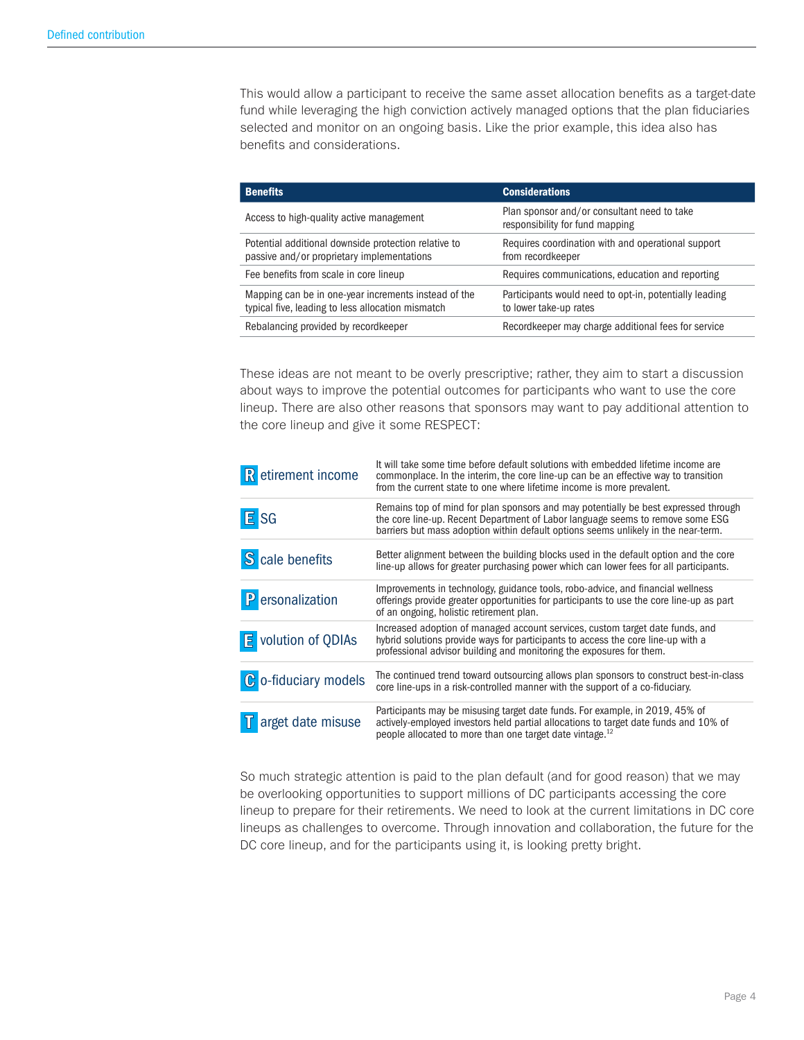This would allow a participant to receive the same asset allocation benefits as a target-date fund while leveraging the high conviction actively managed options that the plan fiduciaries selected and monitor on an ongoing basis. Like the prior example, this idea also has benefits and considerations.

| <b>Benefits</b>                                                                                           | <b>Considerations</b>                                                            |
|-----------------------------------------------------------------------------------------------------------|----------------------------------------------------------------------------------|
| Access to high-quality active management                                                                  | Plan sponsor and/or consultant need to take<br>responsibility for fund mapping   |
| Potential additional downside protection relative to<br>passive and/or proprietary implementations        | Requires coordination with and operational support<br>from recordkeeper          |
| Fee benefits from scale in core lineup                                                                    | Requires communications, education and reporting                                 |
| Mapping can be in one-year increments instead of the<br>typical five, leading to less allocation mismatch | Participants would need to opt-in, potentially leading<br>to lower take-up rates |
| Rebalancing provided by recordkeeper                                                                      | Recordkeeper may charge additional fees for service                              |

These ideas are not meant to be overly prescriptive; rather, they aim to start a discussion about ways to improve the potential outcomes for participants who want to use the core lineup. There are also other reasons that sponsors may want to pay additional attention to the core lineup and give it some RESPECT:

| R etirement income          | It will take some time before default solutions with embedded lifetime income are<br>commonplace. In the interim, the core line-up can be an effective way to transition<br>from the current state to one where lifetime income is more prevalent.          |
|-----------------------------|-------------------------------------------------------------------------------------------------------------------------------------------------------------------------------------------------------------------------------------------------------------|
| E SG                        | Remains top of mind for plan sponsors and may potentially be best expressed through<br>the core line-up. Recent Department of Labor language seems to remove some ESG<br>barriers but mass adoption within default options seems unlikely in the near-term. |
| S cale benefits             | Better alignment between the building blocks used in the default option and the core<br>line-up allows for greater purchasing power which can lower fees for all participants.                                                                              |
| P ersonalization            | Improvements in technology, guidance tools, robo-advice, and financial wellness<br>offerings provide greater opportunities for participants to use the core line-up as part<br>of an ongoing, holistic retirement plan.                                     |
| E volution of QDIAs         | Increased adoption of managed account services, custom target date funds, and<br>hybrid solutions provide ways for participants to access the core line-up with a<br>professional advisor building and monitoring the exposures for them.                   |
| <b>C</b> o-fiduciary models | The continued trend toward outsourcing allows plan sponsors to construct best-in-class<br>core line-ups in a risk-controlled manner with the support of a co-fiduciary.                                                                                     |
| arget date misuse           | Participants may be misusing target date funds. For example, in 2019, 45% of<br>actively-employed investors held partial allocations to target date funds and 10% of<br>people allocated to more than one target date vintage. <sup>12</sup>                |

So much strategic attention is paid to the plan default (and for good reason) that we may be overlooking opportunities to support millions of DC participants accessing the core lineup to prepare for their retirements. We need to look at the current limitations in DC core lineups as challenges to overcome. Through innovation and collaboration, the future for the DC core lineup, and for the participants using it, is looking pretty bright.